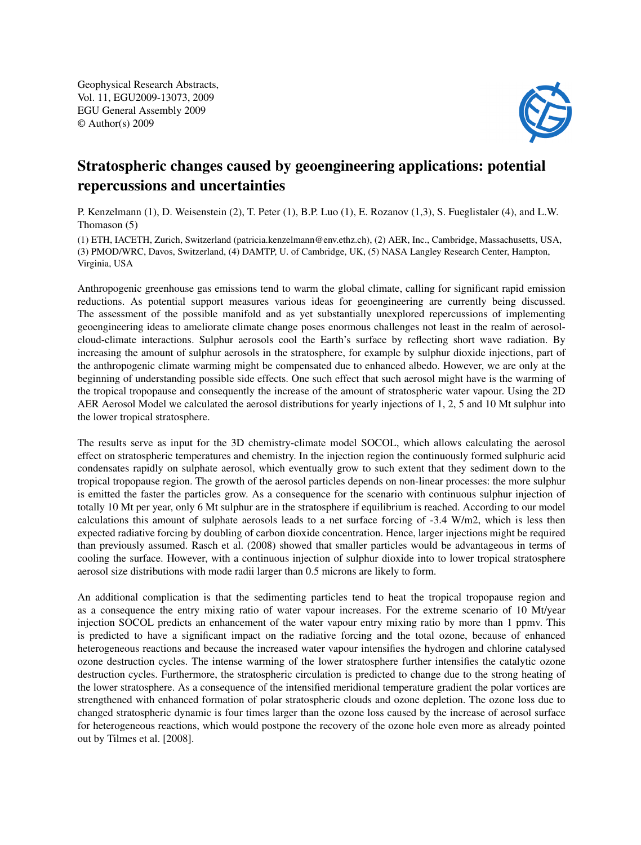Geophysical Research Abstracts, Vol. 11, EGU2009-13073, 2009 EGU General Assembly 2009 © Author(s) 2009



## Stratospheric changes caused by geoengineering applications: potential repercussions and uncertainties

P. Kenzelmann (1), D. Weisenstein (2), T. Peter (1), B.P. Luo (1), E. Rozanov (1,3), S. Fueglistaler (4), and L.W. Thomason (5)

(1) ETH, IACETH, Zurich, Switzerland (patricia.kenzelmann@env.ethz.ch), (2) AER, Inc., Cambridge, Massachusetts, USA, (3) PMOD/WRC, Davos, Switzerland, (4) DAMTP, U. of Cambridge, UK, (5) NASA Langley Research Center, Hampton, Virginia, USA

Anthropogenic greenhouse gas emissions tend to warm the global climate, calling for significant rapid emission reductions. As potential support measures various ideas for geoengineering are currently being discussed. The assessment of the possible manifold and as yet substantially unexplored repercussions of implementing geoengineering ideas to ameliorate climate change poses enormous challenges not least in the realm of aerosolcloud-climate interactions. Sulphur aerosols cool the Earth's surface by reflecting short wave radiation. By increasing the amount of sulphur aerosols in the stratosphere, for example by sulphur dioxide injections, part of the anthropogenic climate warming might be compensated due to enhanced albedo. However, we are only at the beginning of understanding possible side effects. One such effect that such aerosol might have is the warming of the tropical tropopause and consequently the increase of the amount of stratospheric water vapour. Using the 2D AER Aerosol Model we calculated the aerosol distributions for yearly injections of 1, 2, 5 and 10 Mt sulphur into the lower tropical stratosphere.

The results serve as input for the 3D chemistry-climate model SOCOL, which allows calculating the aerosol effect on stratospheric temperatures and chemistry. In the injection region the continuously formed sulphuric acid condensates rapidly on sulphate aerosol, which eventually grow to such extent that they sediment down to the tropical tropopause region. The growth of the aerosol particles depends on non-linear processes: the more sulphur is emitted the faster the particles grow. As a consequence for the scenario with continuous sulphur injection of totally 10 Mt per year, only 6 Mt sulphur are in the stratosphere if equilibrium is reached. According to our model calculations this amount of sulphate aerosols leads to a net surface forcing of -3.4 W/m2, which is less then expected radiative forcing by doubling of carbon dioxide concentration. Hence, larger injections might be required than previously assumed. Rasch et al. (2008) showed that smaller particles would be advantageous in terms of cooling the surface. However, with a continuous injection of sulphur dioxide into to lower tropical stratosphere aerosol size distributions with mode radii larger than 0.5 microns are likely to form.

An additional complication is that the sedimenting particles tend to heat the tropical tropopause region and as a consequence the entry mixing ratio of water vapour increases. For the extreme scenario of 10 Mt/year injection SOCOL predicts an enhancement of the water vapour entry mixing ratio by more than 1 ppmv. This is predicted to have a significant impact on the radiative forcing and the total ozone, because of enhanced heterogeneous reactions and because the increased water vapour intensifies the hydrogen and chlorine catalysed ozone destruction cycles. The intense warming of the lower stratosphere further intensifies the catalytic ozone destruction cycles. Furthermore, the stratospheric circulation is predicted to change due to the strong heating of the lower stratosphere. As a consequence of the intensified meridional temperature gradient the polar vortices are strengthened with enhanced formation of polar stratospheric clouds and ozone depletion. The ozone loss due to changed stratospheric dynamic is four times larger than the ozone loss caused by the increase of aerosol surface for heterogeneous reactions, which would postpone the recovery of the ozone hole even more as already pointed out by Tilmes et al. [2008].